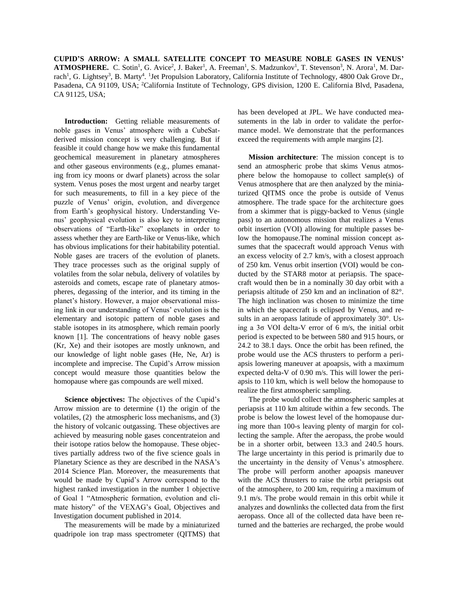**CUPID'S ARROW: A SMALL SATELLITE CONCEPT TO MEASURE NOBLE GASES IN VENUS' ATMOSPHERE.** C. Sotin<sup>1</sup>, G. Avice<sup>2</sup>, J. Baker<sup>1</sup>, A. Freeman<sup>1</sup>, S. Madzunkov<sup>1</sup>, T. Stevenson<sup>3</sup>, N. Arora<sup>1</sup>, M. Darrach<sup>1</sup>, G. Lightsey<sup>3</sup>, B. Marty<sup>4</sup>. <sup>1</sup>Jet Propulsion Laboratory, California Institute of Technology, 4800 Oak Grove Dr., Pasadena, CA 91109, USA; <sup>2</sup>California Institute of Technology, GPS division, 1200 E. California Blvd, Pasadena, CA 91125, USA;

**Introduction:** Getting reliable measurements of noble gases in Venus' atmosphere with a CubeSatderived mission concept is very challenging. But if feasible it could change how we make this fundamental geochemical measurement in planetary atmospheres and other gaseous environments (e.g., plumes emanating from icy moons or dwarf planets) across the solar system. Venus poses the most urgent and nearby target for such measurements, to fill in a key piece of the puzzle of Venus' origin, evolution, and divergence from Earth's geophysical history. Understanding Venus' geophysical evolution is also key to interpreting observations of "Earth-like" exoplanets in order to assess whether they are Earth-like or Venus-like, which has obvious implications for their habitability potential. Noble gases are tracers of the evolution of planets. They trace processes such as the original supply of volatiles from the solar nebula, delivery of volatiles by asteroids and comets, escape rate of planetary atmospheres, degassing of the interior, and its timing in the planet's history. However, a major observational missing link in our understanding of Venus' evolution is the elementary and isotopic pattern of noble gases and stable isotopes in its atmosphere, which remain poorly known [1]. The concentrations of heavy noble gases (Kr, Xe) and their isotopes are mostly unknown, and our knowledge of light noble gases (He, Ne, Ar) is incomplete and imprecise. The Cupid's Arrow mission concept would measure those quantities below the homopause where gas compounds are well mixed.

**Science objectives:** The objectives of the Cupid's Arrow mission are to determine (1) the origin of the volatiles, (2) the atmospheric loss mechanisms, and (3) the history of volcanic outgassing. These objectives are achieved by measuring noble gases concentrateion and their isotope ratios below the homopause. These objectives partially address two of the five science goals in Planetary Science as they are described in the NASA's 2014 Science Plan. Moreover, the measurements that would be made by Cupid's Arrow correspond to the highest ranked investigation in the number 1 objective of Goal 1 "Atmospheric formation, evolution and climate history" of the VEXAG's Goal, Objectives and Investigation document published in 2014.

The measurements will be made by a miniaturized quadripole ion trap mass spectrometer (QITMS) that

has been developed at JPL. We have conducted measutements in the lab in order to validate the performance model. We demonstrate that the performances exceed the requirements with ample margins [2].

**Mission architecture**: The mission concept is to send an atmospheric probe that skims Venus atmosphere below the homopause to collect sample(s) of Venus atmosphere that are then analyzed by the miniaturized QITMS once the probe is outside of Venus atmosphere. The trade space for the architecture goes from a skimmer that is piggy-backed to Venus (single pass) to an autonomous mission that realizes a Venus orbit insertion (VOI) allowing for multiple passes below the homopause.The nominal mission concept assumes that the spacecraft would approach Venus with an excess velocity of 2.7 km/s, with a closest approach of 250 km. Venus orbit insertion (VOI) would be conducted by the STAR8 motor at periapsis. The spacecraft would then be in a nominally 30 day orbit with a periapsis altitude of 250 km and an inclination of 82°. The high inclination was chosen to minimize the time in which the spacecraft is eclipsed by Venus, and results in an aeropass latitude of approximately 30°. Using a 3σ VOI delta-V error of 6 m/s, the initial orbit period is expected to be between 580 and 915 hours, or 24.2 to 38.1 days. Once the orbit has been refined, the probe would use the ACS thrusters to perform a periapsis lowering maneuver at apoapsis, with a maximum expected delta-V of 0.90 m/s. This will lower the periapsis to 110 km, which is well below the homopause to realize the first atmospheric sampling.

The probe would collect the atmospheric samples at periapsis at 110 km altitude within a few seconds. The probe is below the lowest level of the homopause during more than 100-s leaving plenty of margin for collecting the sample. After the aeropass, the probe would be in a shorter orbit, between 13.3 and 240.5 hours. The large uncertainty in this period is primarily due to the uncertainty in the density of Venus's atmosphere. The probe will perform another apoapsis maneuver with the ACS thrusters to raise the orbit periapsis out of the atmosphere, to 200 km, requiring a maximum of 9.1 m/s. The probe would remain in this orbit while it analyzes and downlinks the collected data from the first aeropass. Once all of the collected data have been returned and the batteries are recharged, the probe would